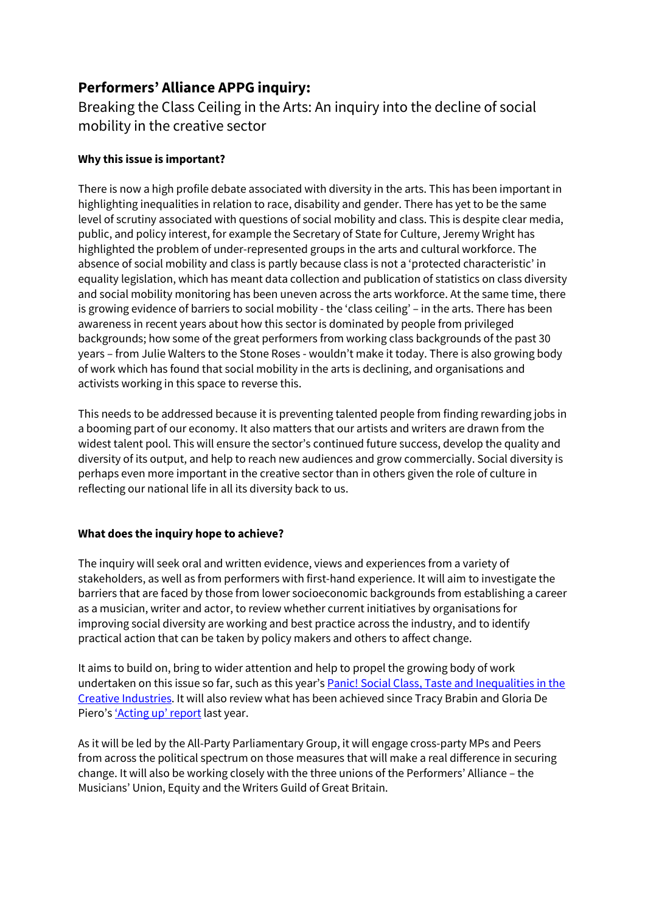# Performers' Alliance APPG inquiry:

Breaking the Class Ceiling in the Arts: An inquiry into the decline of social mobility in the creative sector

## Why this issue is important?

There is now a high profile debate associated with diversity in the arts. This has been important in highlighting inequalities in relation to race, disability and gender. There has yet to be the same level of scrutiny associated with questions of social mobility and class. This is despite clear media, public, and policy interest, for example the Secretary of State for Culture, Jeremy Wright has highlighted the problem of under-represented groups in the arts and cultural workforce. The absence of social mobility and class is partly because class is not a 'protected characteristic' in equality legislation, which has meant data collection and publication of statistics on class diversity and social mobility monitoring has been uneven across the arts workforce. At the same time, there is growing evidence of barriers to social mobility - the 'class ceiling' – in the arts. There has been awareness in recent years about how this sector is dominated by people from privileged backgrounds; how some of the great performers from working class backgrounds of the past 30 years – from Julie Walters to the Stone Roses - wouldn't make it today. There is also growing body of work which has found that social mobility in the arts is declining, and organisations and activists working in this space to reverse this.

This needs to be addressed because it is preventing talented people from finding rewarding jobs in a booming part of our economy. It also matters that our artists and writers are drawn from the widest talent pool. This will ensure the sector's continued future success, develop the quality and diversity of its output, and help to reach new audiences and grow commercially. Social diversity is perhaps even more important in the creative sector than in others given the role of culture in reflecting our national life in all its diversity back to us.

#### What does the inquiry hope to achieve?

The inquiry will seek oral and written evidence, views and experiences from a variety of stakeholders, as well as from performers with first-hand experience. It will aim to investigate the barriers that are faced by those from lower socioeconomic backgrounds from establishing a career as a musician, writer and actor, to review whether current initiatives by organisations for improving social diversity are working and best practice across the industry, and to identify practical action that can be taken by policy makers and others to affect change.

It aims to build on, bring to wider attention and help to propel the growing body of work undertaken on this issue so far, such as this year's Panic! Social Class, Taste and Inequalities in the Creative Industries. It will also review what has been achieved since Tracy Brabin and Gloria De Piero's 'Acting up' report last year.

As it will be led by the All-Party Parliamentary Group, it will engage cross-party MPs and Peers from across the political spectrum on those measures that will make a real difference in securing change. It will also be working closely with the three unions of the Performers' Alliance – the Musicians' Union, Equity and the Writers Guild of Great Britain.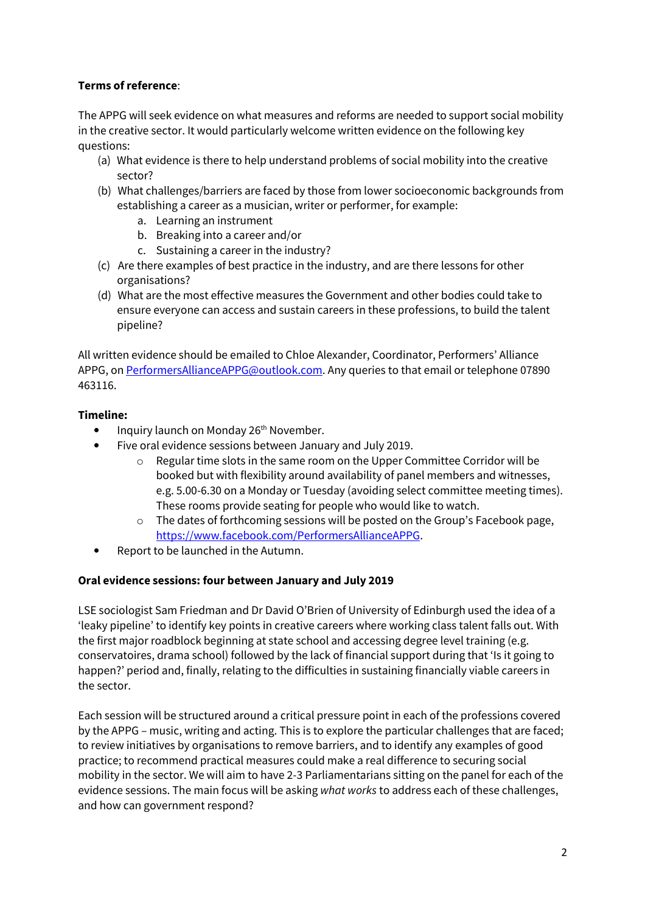# Terms of reference:

The APPG will seek evidence on what measures and reforms are needed to support social mobility in the creative sector. It would particularly welcome written evidence on the following key questions:

- (a) What evidence is there to help understand problems of social mobility into the creative sector?
- (b) What challenges/barriers are faced by those from lower socioeconomic backgrounds from establishing a career as a musician, writer or performer, for example:
	- a. Learning an instrument
	- b. Breaking into a career and/or
	- c. Sustaining a career in the industry?
- (c) Are there examples of best practice in the industry, and are there lessons for other organisations?
- (d) What are the most effective measures the Government and other bodies could take to ensure everyone can access and sustain careers in these professions, to build the talent pipeline?

All written evidence should be emailed to Chloe Alexander, Coordinator, Performers' Alliance APPG, on PerformersAllianceAPPG@outlook.com. Any queries to that email or telephone 07890 463116.

## Timeline:

- Inquiry launch on Monday 26<sup>th</sup> November.
- Five oral evidence sessions between January and July 2019.
	- o Regular time slots in the same room on the Upper Committee Corridor will be booked but with flexibility around availability of panel members and witnesses, e.g. 5.00-6.30 on a Monday or Tuesday (avoiding select committee meeting times). These rooms provide seating for people who would like to watch.
	- $\circ$  The dates of forthcoming sessions will be posted on the Group's Facebook page, https://www.facebook.com/PerformersAllianceAPPG.
- Report to be launched in the Autumn.

#### Oral evidence sessions: four between January and July 2019

LSE sociologist Sam Friedman and Dr David O'Brien of University of Edinburgh used the idea of a 'leaky pipeline' to identify key points in creative careers where working class talent falls out. With the first major roadblock beginning at state school and accessing degree level training (e.g. conservatoires, drama school) followed by the lack of financial support during that 'Is it going to happen?' period and, finally, relating to the difficulties in sustaining financially viable careers in the sector.

Each session will be structured around a critical pressure point in each of the professions covered by the APPG – music, writing and acting. This is to explore the particular challenges that are faced; to review initiatives by organisations to remove barriers, and to identify any examples of good practice; to recommend practical measures could make a real difference to securing social mobility in the sector. We will aim to have 2-3 Parliamentarians sitting on the panel for each of the evidence sessions. The main focus will be asking what works to address each of these challenges, and how can government respond?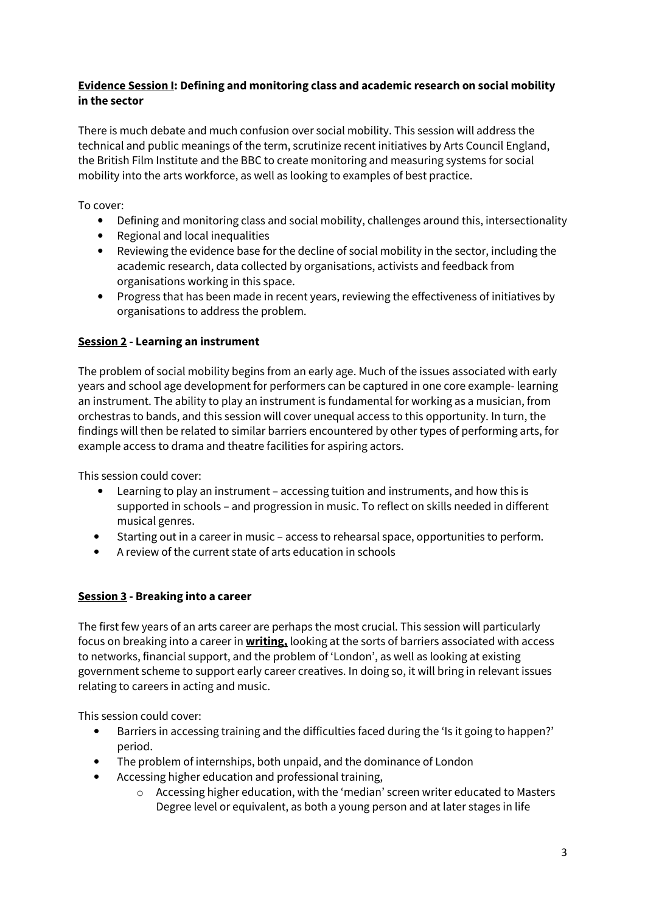# Evidence Session I: Defining and monitoring class and academic research on social mobility in the sector

There is much debate and much confusion over social mobility. This session will address the technical and public meanings of the term, scrutinize recent initiatives by Arts Council England, the British Film Institute and the BBC to create monitoring and measuring systems for social mobility into the arts workforce, as well as looking to examples of best practice.

To cover:

- Defining and monitoring class and social mobility, challenges around this, intersectionality
- Regional and local inequalities
- Reviewing the evidence base for the decline of social mobility in the sector, including the academic research, data collected by organisations, activists and feedback from organisations working in this space.
- Progress that has been made in recent years, reviewing the effectiveness of initiatives by organisations to address the problem.

# Session 2 - Learning an instrument

The problem of social mobility begins from an early age. Much of the issues associated with early years and school age development for performers can be captured in one core example- learning an instrument. The ability to play an instrument is fundamental for working as a musician, from orchestras to bands, and this session will cover unequal access to this opportunity. In turn, the findings will then be related to similar barriers encountered by other types of performing arts, for example access to drama and theatre facilities for aspiring actors.

This session could cover:

- Learning to play an instrument accessing tuition and instruments, and how this is supported in schools – and progression in music. To reflect on skills needed in different musical genres.
- Starting out in a career in music access to rehearsal space, opportunities to perform.
- A review of the current state of arts education in schools

# Session 3 - Breaking into a career

The first few years of an arts career are perhaps the most crucial. This session will particularly focus on breaking into a career in **writing**, looking at the sorts of barriers associated with access to networks, financial support, and the problem of 'London', as well as looking at existing government scheme to support early career creatives. In doing so, it will bring in relevant issues relating to careers in acting and music.

This session could cover:

- Barriers in accessing training and the difficulties faced during the 'Is it going to happen?' period.
- The problem of internships, both unpaid, and the dominance of London
- Accessing higher education and professional training,
	- o Accessing higher education, with the 'median' screen writer educated to Masters Degree level or equivalent, as both a young person and at later stages in life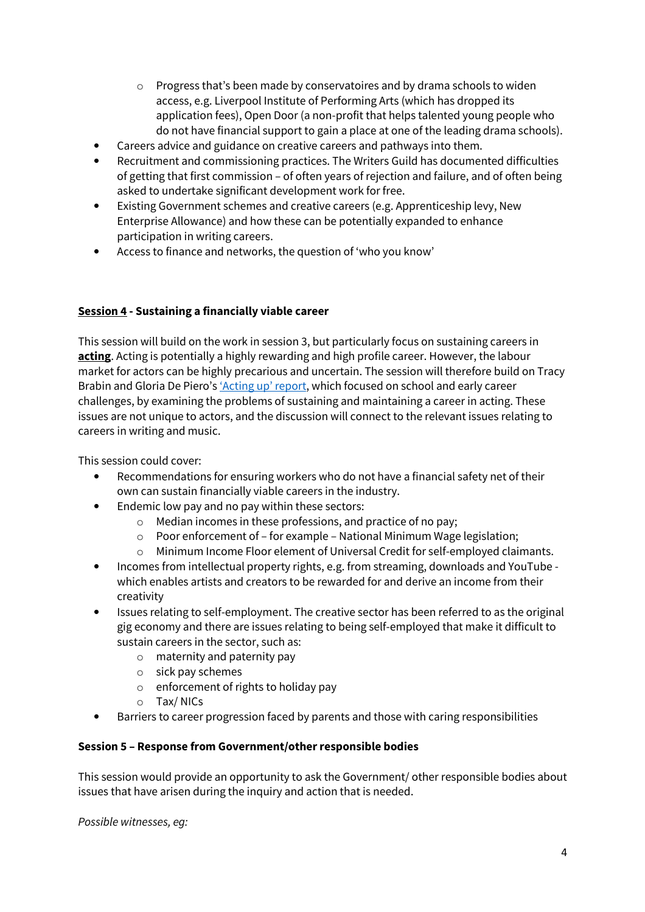- $\circ$  Progress that's been made by conservatoires and by drama schools to widen access, e.g. Liverpool Institute of Performing Arts (which has dropped its application fees), Open Door (a non-profit that helps talented young people who do not have financial support to gain a place at one of the leading drama schools).
- Careers advice and guidance on creative careers and pathways into them.
- Recruitment and commissioning practices. The Writers Guild has documented difficulties of getting that first commission – of often years of rejection and failure, and of often being asked to undertake significant development work for free.
- Existing Government schemes and creative careers (e.g. Apprenticeship levy, New Enterprise Allowance) and how these can be potentially expanded to enhance participation in writing careers.
- Access to finance and networks, the question of 'who you know'

## Session 4 - Sustaining a financially viable career

This session will build on the work in session 3, but particularly focus on sustaining careers in acting. Acting is potentially a highly rewarding and high profile career. However, the labour market for actors can be highly precarious and uncertain. The session will therefore build on Tracy Brabin and Gloria De Piero's 'Acting up' report, which focused on school and early career challenges, by examining the problems of sustaining and maintaining a career in acting. These issues are not unique to actors, and the discussion will connect to the relevant issues relating to careers in writing and music.

This session could cover:

- Recommendations for ensuring workers who do not have a financial safety net of their own can sustain financially viable careers in the industry.
- Endemic low pay and no pay within these sectors:
	- o Median incomes in these professions, and practice of no pay;
	- o Poor enforcement of for example National Minimum Wage legislation;
	- o Minimum Income Floor element of Universal Credit for self-employed claimants.
- Incomes from intellectual property rights, e.g. from streaming, downloads and YouTube which enables artists and creators to be rewarded for and derive an income from their creativity
- Issues relating to self-employment. The creative sector has been referred to as the original gig economy and there are issues relating to being self-employed that make it difficult to sustain careers in the sector, such as:
	- o maternity and paternity pay
	- o sick pay schemes
	- o enforcement of rights to holiday pay
	- o Tax/ NICs
- Barriers to career progression faced by parents and those with caring responsibilities

#### Session 5 – Response from Government/other responsible bodies

This session would provide an opportunity to ask the Government/ other responsible bodies about issues that have arisen during the inquiry and action that is needed.

Possible witnesses, eg: